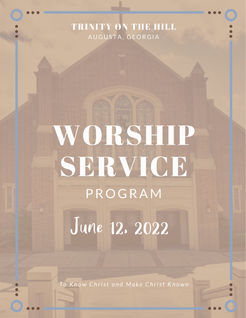### TRINITY ON THE HILL AUGUSTA, GEORGIA

# WORSHIP SERVICE PROGRAM

June 12. 2022

To Know Christ and Make Christ Known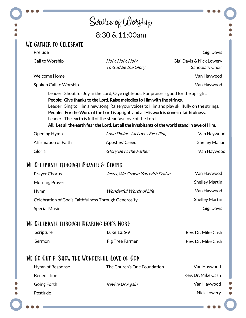## Service of Worship 8:30 & 11:00am

#### We Gather to Celebrate

Prelude

Call to Worship Holy, Holy, Holy

To God Be the Glory

Gigi Davis & Nick Lowery Sanctuary Choir

Gigi Davis

Van Haywood

Van Haywood

Welcome Home

Spoken Call to Worship

Leader: Shout for Joy in the Lord, O ye righteous. For praise is good for the upright. People: Give thanks to the Lord. Raise melodies to Him with the strings. Leader: Sing to Him a new song. Raise your voices to Him and play skillfully on the strings. People: For the Word of the Lord is upright, and all His work is done in faithfulness. Leader: The earth is full of the steadfast love of the Lord.

All: Let all the earth fear the Lord. Let all the inhabitants of the world stand in awe of Him.

| Opening Hymn         | Love Divine, All Loves Excelling | Van Haywood           |
|----------------------|----------------------------------|-----------------------|
| Affirmation of Faith | Apostles' Creed                  | <b>Shelley Martin</b> |
| Gloria               | Glory Be to the Father           | Van Haywood           |

#### We Celebrate through Prayer & Giving

| <b>Prayer Chorus</b>                                 | Jesus, We Crown You with Praise | Van Haywood           |
|------------------------------------------------------|---------------------------------|-----------------------|
| Morning Prayer                                       |                                 | <b>Shelley Martin</b> |
| Hymn                                                 | <i>Wonderful Words of Life</i>  | Van Haywood           |
| Celebration of God's Faithfulness Through Generosity |                                 | <b>Shelley Martin</b> |
| <b>Special Music</b>                                 |                                 | Gigi Davis            |

#### We Celebrate through Hearing God's Word

| Scripture | Luke 13:6-9     | Rev. Dr. Mike Cash |
|-----------|-----------------|--------------------|
| Sermon    | Fig Tree Farmer | Rev. Dr. Mike Cash |

#### WE GO OUT & SHOW THE WONDERFUL LOVE OF GOD

| Hymn of Response   | The Church's One Foundation | Van Haywood        |
|--------------------|-----------------------------|--------------------|
| <b>Benediction</b> |                             | Rev. Dr. Mike Cash |
| Going Forth        | Revive Us Again             | Van Haywood        |
| Postlude           |                             | Nick Lowery        |
|                    |                             |                    |